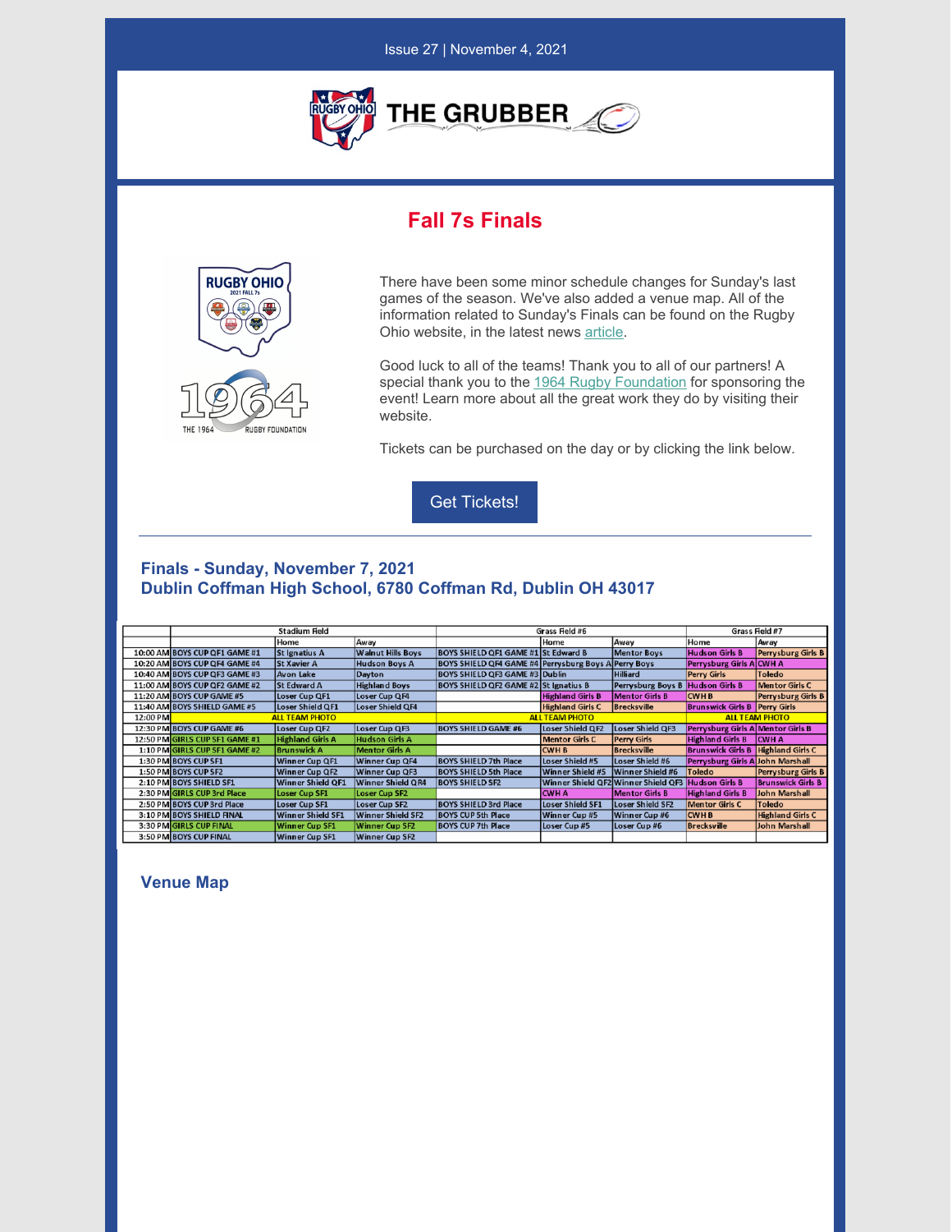

Issue 27 | November 4, 2021

# **Fall 7s Finals**



There have been some minor schedule changes for Sunday's last games of the season. We've also added a venue map. All of the information related to Sunday's Finals can be found on the Rugby Ohio website, in the latest news [article](https://rugbyohio.com/2021-fall-7s-finals/#prev).

Good luck to all of the teams! Thank you to all of our partners! A special thank you to the 1964 Rugby [Foundation](https://1964rugby.org/) for sponsoring the event! Learn more about all the great work they do by visiting their website.

Tickets can be purchased on the day or by clicking the link below.



### **Finals - Sunday, November 7, 2021 Dublin Coffman High School, 6780 Coffman Rd, Dublin OH 43017**

|          |                                |                          |                          | Grass Field #6                                       |                         |                                                    |                                        |                           |
|----------|--------------------------------|--------------------------|--------------------------|------------------------------------------------------|-------------------------|----------------------------------------------------|----------------------------------------|---------------------------|
|          | <b>Stadium Field</b>           |                          |                          |                                                      |                         |                                                    | Grass Field #7                         |                           |
|          |                                | Home                     | Away                     |                                                      | Home                    | Away                                               | Home                                   | Away                      |
|          | 10:00 AM BOYS CUP QF1 GAME #1  | St Ignatius A            | <b>Walnut Hills Boys</b> | BOYS SHIELD QF1 GAME #1 St Edward B                  |                         | <b>Mentor Boys</b>                                 | <b>Hudson Girls B</b>                  | Perrysburg Girls B        |
|          | 10:20 AM BOYS CUP QF4 GAME #4  | <b>St Xavier A</b>       | <b>Hudson Boys A</b>     | BOYS SHIELD QF4 GAME #4 Perrysburg Boys A Perry Boys |                         |                                                    | Perrysburg Girls A CWH A               |                           |
|          | 10:40 AM BOYS CUP OF3 GAME #3  | <b>Avon Lake</b>         | Dayton                   | <b>BOYS SHIELD OF3 GAME #3 Dublin</b>                |                         | Hilliard                                           | <b>Perry Girls</b>                     | <b>Toledo</b>             |
|          | 11:00 AM BOYS CUP QF2 GAME #2  | <b>St Edward A</b>       | <b>Highland Boys</b>     | <b>BOYS SHIELD QF2 GAME #2 St Ignatius B</b>         |                         | Perrysburg Boys B                                  | <b>Hudson Girls B</b>                  | <b>Mentor Girls C</b>     |
|          | 11:20 AM BOYS CUP GAME #5      | Loser Cup QF1            | Loser Cup QF4            |                                                      | <b>Highland Girls B</b> | Mentor Girls B                                     | <b>CWHB</b>                            | <b>Perrysburg Girls B</b> |
|          | 11:40 AM BOYS SHIELD GAME #5   | Loser Shield QF1         | Loser Shield QF4         |                                                      | <b>Highland Girls C</b> | Brecksville                                        | <b>Brunswick Girls B   Perry Girls</b> |                           |
| 12:00 PM | <b>ALL TEAM PHOTO</b>          |                          |                          | <b>ALL TEAM PHOTO</b>                                |                         |                                                    | <b>ALL TEAM PHOTO</b>                  |                           |
|          | 12:30 PM BOYS CUP GAME #6      | Loser Cup QF2            | Loser Cup QF3            | <b>BOYS SHIELD GAME #6</b>                           | Loser Shield QF2        | Loser Shield QF3                                   | Perrysburg Girls A Mentor Girls B      |                           |
|          | 12:50 PM GIRLS CUP SF1 GAME #1 | <b>Highland Girls A</b>  | <b>Hudson Girls A</b>    |                                                      | <b>Mentor Girls C</b>   | <b>Perry Girls</b>                                 | <b>Highland Girls B</b>                | <b>CWHA</b>               |
|          | 1:10 PM GIRLS CUP SF1 GAME #2  | <b>Brunswick A</b>       | <b>Mentor Girls A</b>    |                                                      | <b>CWH B</b>            | <b>Brecksville</b>                                 | <b>Brunswick Girls B</b>               | <b>Highland Girls C</b>   |
|          | 1:30 PM BOYS CUP SF1           | Winner Cup QF1           | Winner Cup QF4           | <b>BOYS SHIELD 7th Place</b>                         | Loser Shield #5         | Loser Shield #6                                    | Perrysburg Girls A John Marshall       |                           |
|          | 1:50 PM BOYS CUP SF2           | Winner Cup QF2           | <b>Winner Cup QF3</b>    | <b>BOYS SHIELD 5th Place</b>                         | Winner Shield #5        | Winner Shield #6                                   | Toledo                                 | <b>Perrysburg Girls B</b> |
|          | 2:10 PM BOYS SHIELD SF1        | Winner Shield OF1        | Winner Shield QR4        | <b>BOYS SHIELD SF2</b>                               |                         | Winner Shield QF2 Winner Shield QF3 Hudson Girls B |                                        | <b>Brunswick Girls B</b>  |
|          | 2:30 PM GIRLS CUP 3rd Place    | <b>Loser Cup SF1</b>     | <b>Loser Cup SF2</b>     |                                                      | ICWH A                  | <b>Mentor Girls B</b>                              | <b>Highland Girls B</b>                | John Marshall             |
|          | 2:50 PM BOYS CUP 3rd Place     | Loser Cup SF1            | <b>Loser Cup SF2</b>     | <b>BOYS SHIELD 3rd Place</b>                         | <b>Loser Shield SF1</b> | Loser Shield SF2                                   | <b>Mentor Girls C</b>                  | Toledo                    |
|          | 3:10 PM BOYS SHIELD FINAL      | <b>Winner Shield SF1</b> | <b>Winner Shield SF2</b> | <b>BOYS CUP 5th Place</b>                            | Winner Cup #5           | Winner Cup #6                                      | <b>CWHB</b>                            | <b>Highland Girls C</b>   |
|          | 3:30 PM GIRLS CUP FINAL        | <b>Winner Cup SF1</b>    | <b>Winner Cup SF2</b>    | <b>BOYS CUP 7th Place</b>                            | Loser Cup#5             | Loser Cup #6                                       | <b>Brecksville</b>                     | John Marshall             |
|          | 3:50 PM BOYS CUP FINAL         | <b>Winner Cup SF1</b>    | <b>Winner Cup SF2</b>    |                                                      |                         |                                                    |                                        |                           |

**Venue Map**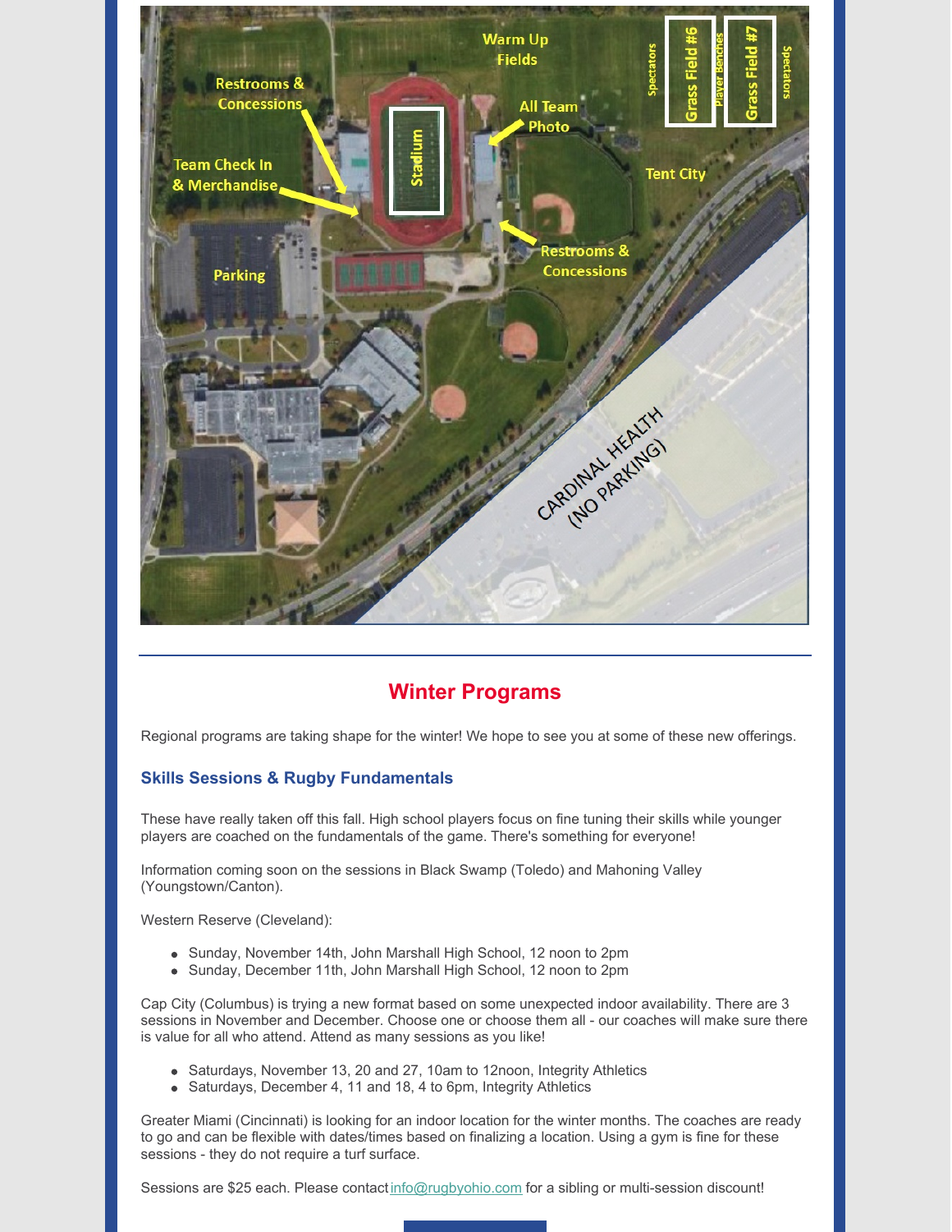

## **Winter Programs**

Regional programs are taking shape for the winter! We hope to see you at some of these new offerings.

### **Skills Sessions & Rugby Fundamentals**

These have really taken off this fall. High school players focus on fine tuning their skills while younger players are coached on the fundamentals of the game. There's something for everyone!

Information coming soon on the sessions in Black Swamp (Toledo) and Mahoning Valley (Youngstown/Canton).

Western Reserve (Cleveland):

- Sunday, November 14th, John Marshall High School, 12 noon to 2pm
- Sunday, December 11th, John Marshall High School, 12 noon to 2pm

Cap City (Columbus) is trying a new format based on some unexpected indoor availability. There are 3 sessions in November and December. Choose one or choose them all - our coaches will make sure there is value for all who attend. Attend as many sessions as you like!

- Saturdays, November 13, 20 and 27, 10am to 12noon, Integrity Athletics
- Saturdays, December 4, 11 and 18, 4 to 6pm, Integrity Athletics

Greater Miami (Cincinnati) is looking for an indoor location for the winter months. The coaches are ready to go and can be flexible with dates/times based on finalizing a location. Using a gym is fine for these sessions - they do not require a turf surface.

Sessions are \$25 each. Please contact [info@rugbyohio.com](mailto:info@rugbyohio.com) for a sibling or multi-session discount!